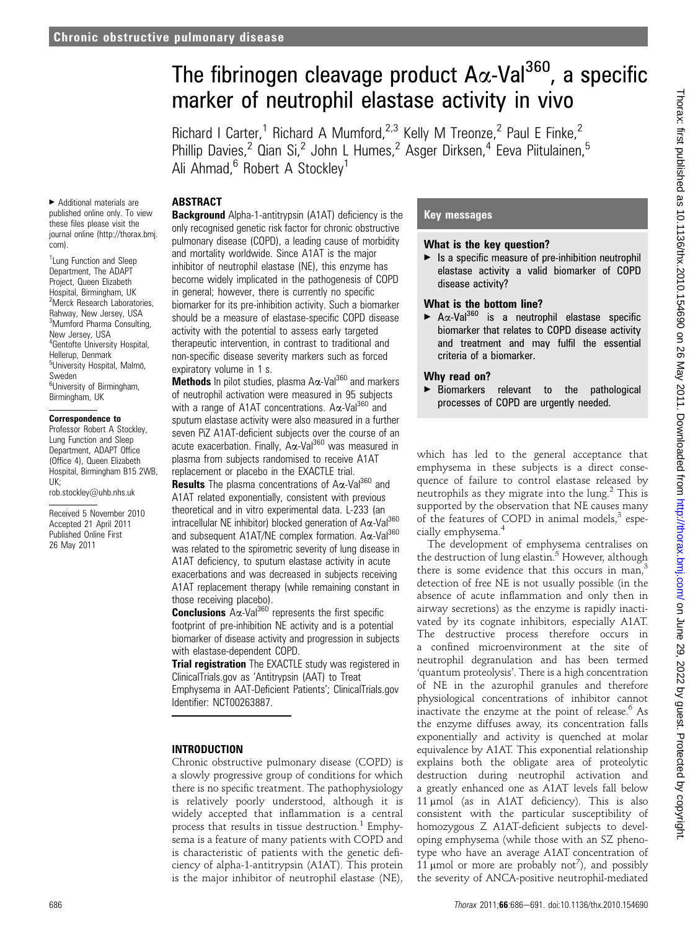# The fibrinogen cleavage product  $A\alpha$ -Val<sup>360</sup>, a specific marker of neutrophil elastase activity in vivo

Richard I Carter,<sup>1</sup> Richard A Mumford,<sup>2,3</sup> Kelly M Treonze,<sup>2</sup> Paul E Finke,<sup>2</sup> Phillip Davies,<sup>2</sup> Qian Si,<sup>2</sup> John L Humes,<sup>2</sup> Asger Dirksen,<sup>4</sup> Eeva Piitulainen,<sup>5</sup> Ali Ahmad, $6$  Robert A Stockley<sup>1</sup>

## ABSTRACT

< Additional materials are published online only. To view these files please visit the journal online (http://thorax.bmj. com).

<sup>1</sup> Lung Function and Sleep Department, The ADAPT Project, Queen Elizabeth Hospital, Birmingham, UK 2 Merck Research Laboratories, Rahway, New Jersey, USA 3 Mumford Pharma Consulting, New Jersey, USA 4 Gentofte University Hospital, Hellerup, Denmark <sup>5</sup>University Hospital, Malmö, Sweden <sup>6</sup>University of Birmingham, Birmingham, UK

#### Correspondence to

Professor Robert A Stockley, Lung Function and Sleep Department, ADAPT Office (Office 4), Queen Elizabeth Hospital, Birmingham B15 2WB, UK;

rob.stockley@uhb.nhs.uk

Received 5 November 2010 Accepted 21 April 2011 Published Online First 26 May 2011

**Background** Alpha-1-antitrypsin (A1AT) deficiency is the only recognised genetic risk factor for chronic obstructive pulmonary disease (COPD), a leading cause of morbidity and mortality worldwide. Since A1AT is the major inhibitor of neutrophil elastase (NE), this enzyme has become widely implicated in the pathogenesis of COPD in general; however, there is currently no specific biomarker for its pre-inhibition activity. Such a biomarker should be a measure of elastase-specific COPD disease activity with the potential to assess early targeted therapeutic intervention, in contrast to traditional and non-specific disease severity markers such as forced expiratory volume in 1 s.

Methods In pilot studies, plasma Ax-Val<sup>360</sup> and markers of neutrophil activation were measured in 95 subjects with a range of A1AT concentrations.  $A\alpha$ -Val<sup>360</sup> and sputum elastase activity were also measured in a further seven PiZ A1AT-deficient subjects over the course of an acute exacerbation. Finally, A $\alpha$ -Val<sup>360</sup> was measured in plasma from subjects randomised to receive A1AT replacement or placebo in the EXACTLE trial.

**Results** The plasma concentrations of  $A\alpha$ -Val<sup>360</sup> and A1AT related exponentially, consistent with previous theoretical and in vitro experimental data. L-233 (an intracellular NE inhibitor) blocked generation of  $A\alpha$ -Val $^{360}$ and subsequent A1AT/NE complex formation.  $A\alpha$ -Val<sup>360</sup> was related to the spirometric severity of lung disease in A1AT deficiency, to sputum elastase activity in acute exacerbations and was decreased in subjects receiving A1AT replacement therapy (while remaining constant in those receiving placebo).

**Conclusions**  $\overline{A} \alpha$ -Val<sup>360</sup> represents the first specific footprint of pre-inhibition NE activity and is a potential biomarker of disease activity and progression in subjects with elastase-dependent COPD.

Trial registration The EXACTLE study was registered in ClinicalTrials.gov as 'Antitrypsin (AAT) to Treat Emphysema in AAT-Deficient Patients'; ClinicalTrials.gov Identifier: NCT00263887.

# INTRODUCTION

Chronic obstructive pulmonary disease (COPD) is a slowly progressive group of conditions for which there is no specific treatment. The pathophysiology is relatively poorly understood, although it is widely accepted that inflammation is a central process that results in tissue destruction.<sup>1</sup> Emphysema is a feature of many patients with COPD and is characteristic of patients with the genetic deficiency of alpha-1-antitrypsin (A1AT). This protein is the major inhibitor of neutrophil elastase (NE),

## Key messages

## What is the key question?

 $\blacktriangleright$  Is a specific measure of pre-inhibition neutrophil elastase activity a valid biomarker of COPD disease activity?

## What is the bottom line?

 $\blacktriangleright$  A $\alpha$ -Val<sup>360</sup> is a neutrophil elastase specific biomarker that relates to COPD disease activity and treatment and may fulfil the essential criteria of a biomarker.

# Why read on?

< Biomarkers relevant to the pathological processes of COPD are urgently needed.

which has led to the general acceptance that emphysema in these subjects is a direct consequence of failure to control elastase released by neutrophils as they migrate into the lung. $2$  This is supported by the observation that NE causes many of the features of COPD in animal models, $3$  especially emphysema.<sup>4</sup>

The development of emphysema centralises on the destruction of lung elastin.<sup>5</sup> However, although there is some evidence that this occurs in man, $3$ detection of free NE is not usually possible (in the absence of acute inflammation and only then in airway secretions) as the enzyme is rapidly inactivated by its cognate inhibitors, especially A1AT. The destructive process therefore occurs in a confined microenvironment at the site of neutrophil degranulation and has been termed 'quantum proteolysis'. There is a high concentration of NE in the azurophil granules and therefore physiological concentrations of inhibitor cannot inactivate the enzyme at the point of release.<sup>6</sup> As the enzyme diffuses away, its concentration falls exponentially and activity is quenched at molar equivalence by A1AT. This exponential relationship explains both the obligate area of proteolytic destruction during neutrophil activation and a greatly enhanced one as A1AT levels fall below 11  $\mu$ mol (as in A1AT deficiency). This is also consistent with the particular susceptibility of homozygous Z A1AT-deficient subjects to developing emphysema (while those with an SZ phenotype who have an average A1AT concentration of 11  $\mu$ mol or more are probably not<sup>7</sup>), and possibly the severity of ANCA-positive neutrophil-mediated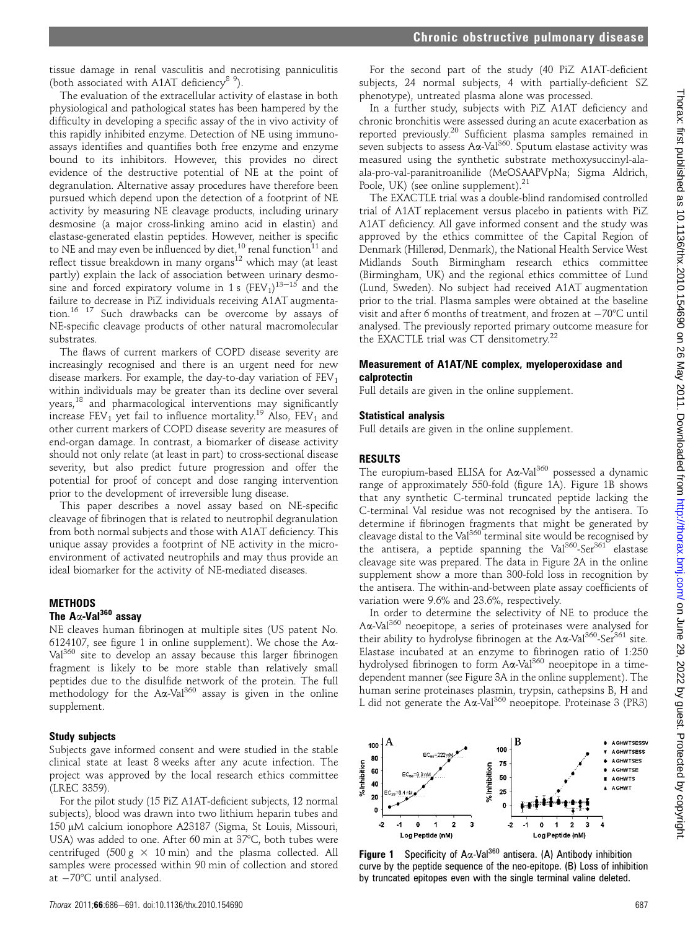tissue damage in renal vasculitis and necrotising panniculitis (both associated with A1AT deficiency<sup>8 9</sup>).

The evaluation of the extracellular activity of elastase in both physiological and pathological states has been hampered by the difficulty in developing a specific assay of the in vivo activity of this rapidly inhibited enzyme. Detection of NE using immunoassays identifies and quantifies both free enzyme and enzyme bound to its inhibitors. However, this provides no direct evidence of the destructive potential of NE at the point of degranulation. Alternative assay procedures have therefore been pursued which depend upon the detection of a footprint of NE activity by measuring NE cleavage products, including urinary desmosine (a major cross-linking amino acid in elastin) and elastase-generated elastin peptides. However, neither is specific to NE and may even be influenced by diet,  $^{10}$  renal function<sup>11</sup> and reflect tissue breakdown in many organs<sup>12</sup> which may (at least partly) explain the lack of association between urinary desmosine and forced expiratory volume in 1 s  $(FEV_1)^{13-15}$  and the failure to decrease in PiZ individuals receiving A1AT augmentation.16 17 Such drawbacks can be overcome by assays of NE-specific cleavage products of other natural macromolecular substrates.

The flaws of current markers of COPD disease severity are increasingly recognised and there is an urgent need for new disease markers. For example, the day-to-day variation of  $FEV<sub>1</sub>$ within individuals may be greater than its decline over several years,<sup>18</sup> and pharmacological interventions may significantly increase  $FEV<sub>1</sub>$  yet fail to influence mortality.<sup>19</sup> Also,  $FEV<sub>1</sub>$  and other current markers of COPD disease severity are measures of end-organ damage. In contrast, a biomarker of disease activity should not only relate (at least in part) to cross-sectional disease severity, but also predict future progression and offer the potential for proof of concept and dose ranging intervention prior to the development of irreversible lung disease.

This paper describes a novel assay based on NE-specific cleavage of fibrinogen that is related to neutrophil degranulation from both normal subjects and those with A1AT deficiency. This unique assay provides a footprint of NE activity in the microenvironment of activated neutrophils and may thus provide an ideal biomarker for the activity of NE-mediated diseases.

## METHODS

#### The  $A\alpha$ -Val<sup>360</sup> assav

NE cleaves human fibrinogen at multiple sites (US patent No. 6124107, see figure 1 in online supplement). We chose the  $A\alpha$ -Val<sup>360</sup> site to develop an assay because this larger fibrinogen fragment is likely to be more stable than relatively small peptides due to the disulfide network of the protein. The full methodology for the  $A\alpha$ -Val<sup>360</sup> assay is given in the online supplement.

#### Study subjects

Subjects gave informed consent and were studied in the stable clinical state at least 8 weeks after any acute infection. The project was approved by the local research ethics committee (LREC 3359).

For the pilot study (15 PiZ A1AT-deficient subjects, 12 normal subjects), blood was drawn into two lithium heparin tubes and 150 μM calcium ionophore A23187 (Sigma, St Louis, Missouri, USA) was added to one. After 60 min at 37°C, both tubes were centrifuged (500 g  $\times$  10 min) and the plasma collected. All samples were processed within 90 min of collection and stored at  $-70^{\circ}$ C until analysed.

For the second part of the study (40 PiZ A1AT-deficient subjects, 24 normal subjects, 4 with partially-deficient SZ phenotype), untreated plasma alone was processed.

In a further study, subjects with PiZ A1AT deficiency and chronic bronchitis were assessed during an acute exacerbation as reported previously.<sup>20</sup> Sufficient plasma samples remained in seven subjects to assess  $A\alpha$ -Val<sup>360</sup>. Sputum elastase activity was measured using the synthetic substrate methoxysuccinyl-alaala-pro-val-paranitroanilide (MeOSAAPVpNa; Sigma Aldrich, Poole, UK) (see online supplement).<sup>21</sup>

The EXACTLE trial was a double-blind randomised controlled trial of A1AT replacement versus placebo in patients with PiZ A1AT deficiency. All gave informed consent and the study was approved by the ethics committee of the Capital Region of Denmark (Hillerød, Denmark), the National Health Service West Midlands South Birmingham research ethics committee (Birmingham, UK) and the regional ethics committee of Lund (Lund, Sweden). No subject had received A1AT augmentation prior to the trial. Plasma samples were obtained at the baseline visit and after 6 months of treatment, and frozen at  $-70^{\circ}$ C until analysed. The previously reported primary outcome measure for the EXACTLE trial was CT densitometry.<sup>22</sup>

#### Measurement of A1AT/NE complex, myeloperoxidase and calprotectin

Full details are given in the online supplement.

#### Statistical analysis

Full details are given in the online supplement.

#### RESULTS

The europium-based ELISA for  $A\alpha$ -Val<sup>360</sup> possessed a dynamic range of approximately 550-fold (figure 1A). Figure 1B shows that any synthetic C-terminal truncated peptide lacking the C-terminal Val residue was not recognised by the antisera. To determine if fibrinogen fragments that might be generated by cleavage distal to the Val<sup>360</sup> terminal site would be recognised by the antisera, a peptide spanning the Val<sup>360</sup>-Ser<sup>361</sup> elastase cleavage site was prepared. The data in Figure 2A in the online supplement show a more than 300-fold loss in recognition by the antisera. The within-and-between plate assay coefficients of variation were 9.6% and 23.6%, respectively.

In order to determine the selectivity of NE to produce the Aa-Val<sup>360</sup> neoepitope, a series of proteinases were analysed for their ability to hydrolyse fibrinogen at the  $A\alpha$ -Val<sup>360</sup>-Ser<sup>361</sup> site. Elastase incubated at an enzyme to fibrinogen ratio of 1:250 hydrolysed fibrinogen to form Aa-Val<sup>360</sup> neoepitope in a timedependent manner (see Figure 3A in the online supplement). The human serine proteinases plasmin, trypsin, cathepsins B, H and L did not generate the Aa-Val<sup>360</sup> neoepitope. Proteinase 3 (PR3)



**Figure 1** Specificity of A $\alpha$ -Val<sup>360</sup> antisera. (A) Antibody inhibition curve by the peptide sequence of the neo-epitope. (B) Loss of inhibition by truncated epitopes even with the single terminal valine deleted.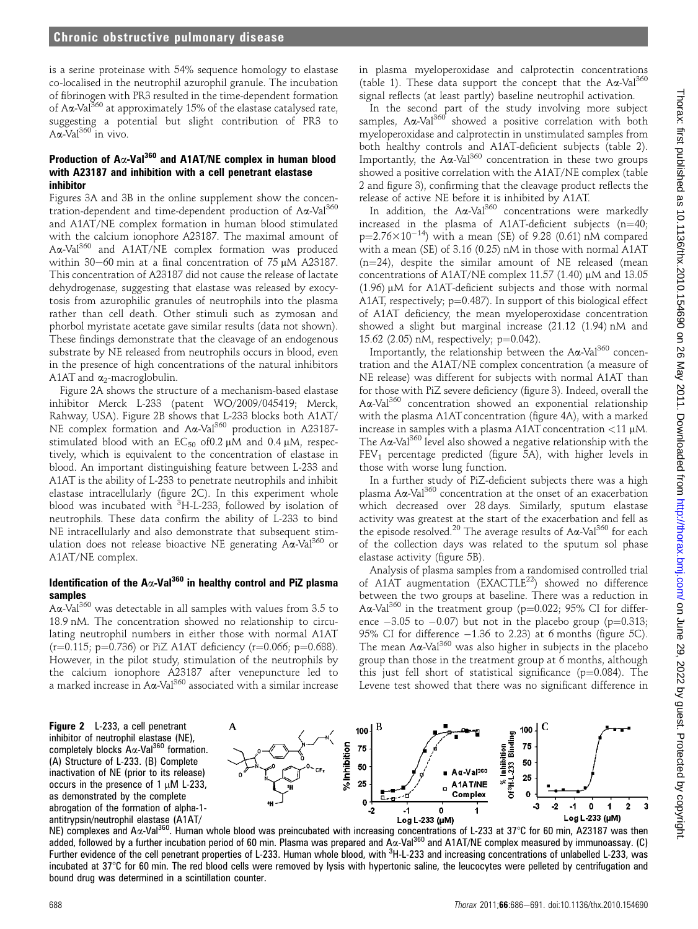is a serine proteinase with 54% sequence homology to elastase co-localised in the neutrophil azurophil granule. The incubation of fibrinogen with PR3 resulted in the time-dependent formation of A $\alpha$ -Val<sup>360</sup> at approximately 15% of the elastase catalysed rate, suggesting a potential but slight contribution of PR3 to  $A\alpha$ -Val<sup>360</sup> in vivo.

## Production of A $\alpha$ -Val<sup>360</sup> and A1AT/NE complex in human blood with A23187 and inhibition with a cell penetrant elastase inhibitor

Figures 3A and 3B in the online supplement show the concentration-dependent and time-dependent production of Aa-Val<sup>360</sup> and A1AT/NE complex formation in human blood stimulated with the calcium ionophore A23187. The maximal amount of Ax-Val<sup>360</sup> and A1AT/NE complex formation was produced within 30-60 min at a final concentration of 75  $\mu$ M A23187. This concentration of A23187 did not cause the release of lactate dehydrogenase, suggesting that elastase was released by exocytosis from azurophilic granules of neutrophils into the plasma rather than cell death. Other stimuli such as zymosan and phorbol myristate acetate gave similar results (data not shown). These findings demonstrate that the cleavage of an endogenous substrate by NE released from neutrophils occurs in blood, even in the presence of high concentrations of the natural inhibitors A1AT and  $\alpha_2$ -macroglobulin.

Figure 2A shows the structure of a mechanism-based elastase inhibitor Merck L-233 (patent WO/2009/045419; Merck, Rahway, USA). Figure 2B shows that L-233 blocks both A1AT/ NE complex formation and A $\alpha$ -Val<sup>360</sup> production in A23187stimulated blood with an  $EC_{50}$  of 0.2  $\mu$ M and 0.4  $\mu$ M, respectively, which is equivalent to the concentration of elastase in blood. An important distinguishing feature between L-233 and A1AT is the ability of L-233 to penetrate neutrophils and inhibit elastase intracellularly (figure 2C). In this experiment whole blood was incubated with <sup>3</sup>H-L-233, followed by isolation of neutrophils. These data confirm the ability of L-233 to bind NE intracellularly and also demonstrate that subsequent stimulation does not release bioactive NE generating Aa-Val<sup>360</sup> or A1AT/NE complex.

## Identification of the  $A\alpha$ -Val<sup>360</sup> in healthy control and PiZ plasma samples

 $A\alpha$ -Val<sup>360</sup> was detectable in all samples with values from 3.5 to 18.9 nM. The concentration showed no relationship to circulating neutrophil numbers in either those with normal A1AT  $(r=0.115; p=0.736)$  or PiZ A1AT deficiency  $(r=0.066; p=0.688)$ . However, in the pilot study, stimulation of the neutrophils by the calcium ionophore A23187 after venepuncture led to a marked increase in A $\alpha$ -Val<sup>360</sup> associated with a similar increase in plasma myeloperoxidase and calprotectin concentrations (table 1). These data support the concept that the  $A\alpha$ -Val<sup>360</sup> signal reflects (at least partly) baseline neutrophil activation.

In the second part of the study involving more subject samples.  $A\alpha$ -Val<sup>360</sup> showed a positive correlation with both myeloperoxidase and calprotectin in unstimulated samples from both healthy controls and A1AT-deficient subjects (table 2). Importantly, the  $A\alpha$ -Val<sup>360</sup> concentration in these two groups showed a positive correlation with the A1AT/NE complex (table 2 and figure 3), confirming that the cleavage product reflects the release of active NE before it is inhibited by A1AT.

In addition, the  $A\alpha$ -Val<sup>360</sup> concentrations were markedly increased in the plasma of A1AT-deficient subjects (n=40;  $p=2.76\times10^{-14}$ ) with a mean (SE) of 9.28 (0.61) nM compared with a mean (SE) of 3.16 (0.25) nM in those with normal A1AT  $(n=24)$ , despite the similar amount of NE released (mean concentrations of A1AT/NE complex 11.57 (1.40)  $\mu$ M and 13.05  $(1.96)$  µM for A1AT-deficient subjects and those with normal A1AT, respectively;  $p=0.487$ ). In support of this biological effect of A1AT deficiency, the mean myeloperoxidase concentration showed a slight but marginal increase (21.12 (1.94) nM and 15.62 (2.05) nM, respectively;  $p=0.042$ ).

Importantly, the relationship between the  $A\alpha$ -Val<sup>360</sup> concentration and the A1AT/NE complex concentration (a measure of NE release) was different for subjects with normal A1AT than for those with PiZ severe deficiency (figure 3). Indeed, overall the Aa-Val<sup>360</sup> concentration showed an exponential relationship with the plasma A1AT concentration (figure 4A), with a marked increase in samples with a plasma A1AT concentration  $\langle 11 \mu M$ . The A $\alpha$ -Val<sup>360</sup> level also showed a negative relationship with the  $FEV<sub>1</sub>$  percentage predicted (figure 5A), with higher levels in those with worse lung function.

In a further study of PiZ-deficient subjects there was a high plasma  $A\alpha$ -Val<sup>360</sup> concentration at the onset of an exacerbation which decreased over 28 days. Similarly, sputum elastase activity was greatest at the start of the exacerbation and fell as the episode resolved.<sup>20</sup> The average results of  $A\alpha$ -Val<sup>360</sup> for each of the collection days was related to the sputum sol phase elastase activity (figure 5B).

Analysis of plasma samples from a randomised controlled trial of A1AT augmentation (EXACTLE<sup>22</sup>) showed no difference between the two groups at baseline. There was a reduction in A $\alpha$ -Val<sup>360</sup> in the treatment group (p=0.022; 95% CI for difference  $-3.05$  to  $-0.07$ ) but not in the placebo group (p=0.313; 95% CI for difference  $-1.36$  to 2.23) at 6 months (figure 5C). The mean  $A\alpha$ -Val<sup>360</sup> was also higher in subjects in the placebo group than those in the treatment group at 6 months, although this just fell short of statistical significance ( $p=0.084$ ). The Levene test showed that there was no significant difference in

Figure 2 L-233, a cell penetrant inhibitor of neutrophil elastase (NE), completely blocks  $A\alpha$ -Val<sup>360</sup> formation. (A) Structure of L-233. (B) Complete inactivation of NE (prior to its release) occurs in the presence of 1  $\mu$ M L-233, as demonstrated by the complete abrogation of the formation of alpha-1 antitrypsin/neutrophil elastase (A1AT/



ntitrypsin/neutrophil elastase (A1AT/<br>NE) complexes and Aα-Val<sup>360</sup>. Human whole blood was preincubated with increasing concentrations of L-233 at 37°C for 60 min, A23187 was then added, followed by a further incubation period of 60 min. Plasma was prepared and  $A\alpha$ -Val<sup>360</sup> and A1AT/NE complex measured by immunoassay. (C) Further evidence of the cell penetrant properties of L-233. Human whole blood, with <sup>3</sup>H-L-233 and increasing concentrations of unlabelled L-233, was incubated at  $37^{\circ}$ C for 60 min. The red blood cells were removed by lysis with hypertonic saline, the leucocytes were pelleted by centrifugation and bound drug was determined in a scintillation counter.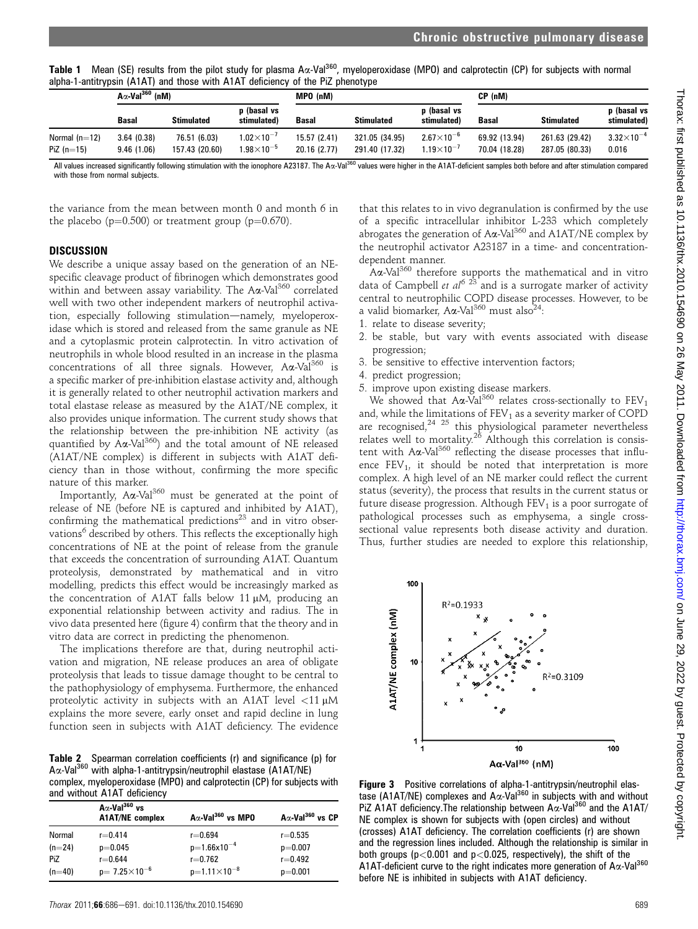Table 1 Mean (SE) results from the pilot study for plasma A $\alpha$ -Val<sup>360</sup>, myeloperoxidase (MPO) and calprotectin (CP) for subjects with normal alpha-1-antitrypsin (A1AT) and those with A1AT deficiency of the PiZ phenotype

|                 | $A\alpha$ -Val <sup>360</sup> (nM) |                   |                            | MPO (nM)     |                   |                            | CP (nM)       |                   |                            |
|-----------------|------------------------------------|-------------------|----------------------------|--------------|-------------------|----------------------------|---------------|-------------------|----------------------------|
|                 | Basal                              | <b>Stimulated</b> | p (basal vs<br>stimulated) | Basal        | <b>Stimulated</b> | p (basal vs<br>stimulated) | <b>Basal</b>  | <b>Stimulated</b> | p (basal vs<br>stimulated) |
| Normal $(n=12)$ | 3.64(0.38)                         | 76.51 (6.03)      | $1.02\times10^{-7}$        | 15.57 (2.41) | 321.05 (34.95)    | $2.67\times10^{-6}$        | 69.92 (13.94) | 261.63 (29.42)    | $3.32\times10^{-4}$        |
| PiZ $(n=15)$    | 9.46(1.06)                         | 157.43 (20.60)    | $1.98\times10^{-5}$        | 20.16 (2.77) | 291.40 (17.32)    | $1.19\times10^{-7}$        | 70.04 (18.28) | 287.05 (80.33)    | 0.016                      |

All values increased significantly following stimulation with the ionophore A23187. The Aa-Val<sup>360</sup> values were higher in the A1AT-deficient samples both before and after stimulation compared with those from normal subjects.

the variance from the mean between month 0 and month 6 in the placebo ( $p=0.500$ ) or treatment group ( $p=0.670$ ).

## **DISCUSSION**

We describe a unique assay based on the generation of an NEspecific cleavage product of fibrinogen which demonstrates good within and between assay variability. The  $A\alpha$ -Val<sup>360</sup> correlated well with two other independent markers of neutrophil activation, especially following stimulation-namely, myeloperoxidase which is stored and released from the same granule as NE and a cytoplasmic protein calprotectin. In vitro activation of neutrophils in whole blood resulted in an increase in the plasma concentrations of all three signals. However,  $A\alpha$ -Val<sup>360</sup> is a specific marker of pre-inhibition elastase activity and, although it is generally related to other neutrophil activation markers and total elastase release as measured by the A1AT/NE complex, it also provides unique information. The current study shows that the relationship between the pre-inhibition NE activity (as quantified by  $A\alpha$ -Val<sup>360</sup>) and the total amount of NE released (A1AT/NE complex) is different in subjects with A1AT deficiency than in those without, confirming the more specific nature of this marker.

Importantly,  $A\alpha$ -Val<sup>360</sup> must be generated at the point of release of NE (before NE is captured and inhibited by A1AT), confirming the mathematical predictions $23$  and in vitro observations<sup>6</sup> described by others. This reflects the exceptionally high concentrations of NE at the point of release from the granule that exceeds the concentration of surrounding A1AT. Quantum proteolysis, demonstrated by mathematical and in vitro modelling, predicts this effect would be increasingly marked as the concentration of A1AT falls below 11  $\mu$ M, producing an exponential relationship between activity and radius. The in vivo data presented here (figure 4) confirm that the theory and in vitro data are correct in predicting the phenomenon.

The implications therefore are that, during neutrophil activation and migration, NE release produces an area of obligate proteolysis that leads to tissue damage thought to be central to the pathophysiology of emphysema. Furthermore, the enhanced proteolytic activity in subjects with an A1AT level  $\langle 11 \mu M$ explains the more severe, early onset and rapid decline in lung function seen in subjects with A1AT deficiency. The evidence

Table 2 Spearman correlation coefficients (r) and significance (p) for Aa-Val<sup>360</sup> with alpha-1-antitrypsin/neutrophil elastase (A1AT/NE) complex, myeloperoxidase (MPO) and calprotectin (CP) for subjects with and without A1AT deficiency

| and velocided ATAT achoichev |                                                            |                                      |                                     |  |  |  |  |
|------------------------------|------------------------------------------------------------|--------------------------------------|-------------------------------------|--|--|--|--|
|                              | $A\alpha$ -Val <sup>360</sup> vs<br><b>A1AT/NE</b> complex | $A\alpha$ -Val <sup>360</sup> vs MPO | $A\alpha$ -Val <sup>360</sup> vs CP |  |  |  |  |
| Normal                       | $r = 0.414$                                                | $r = 0.694$                          | $r = 0.535$                         |  |  |  |  |
| $(n=24)$                     | $p=0.045$                                                  | $p=1.66x10^{-4}$                     | $p=0.007$                           |  |  |  |  |
| PiZ                          | $r = 0.644$                                                | $r = 0.762$                          | $r = 0.492$                         |  |  |  |  |
| $(n=40)$                     | $p=7.25\times10^{-6}$                                      | $p=1.11\times10^{-8}$                | $p=0.001$                           |  |  |  |  |

that this relates to in vivo degranulation is confirmed by the use of a specific intracellular inhibitor L-233 which completely abrogates the generation of  $A\alpha$ -Val<sup>360</sup> and A1AT/NE complex by the neutrophil activator A23187 in a time- and concentrationdependent manner.

 $A\alpha$ -Val $^{360}$  therefore supports the mathematical and in vitro data of Campbell et  $al^{6}$  <sup>23</sup> and is a surrogate marker of activity central to neutrophilic COPD disease processes. However, to be a valid biomarker,  $A\alpha$ -Val<sup>360</sup> must also<sup>24</sup>:

- 1. relate to disease severity;
- 2. be stable, but vary with events associated with disease progression;
- 3. be sensitive to effective intervention factors;
- 4. predict progression;
- 5. improve upon existing disease markers.

We showed that  $A\alpha$ -Val<sup>360</sup> relates cross-sectionally to FEV<sub>1</sub> and, while the limitations of  $FEV<sub>1</sub>$  as a severity marker of COPD are recognised,<sup>24 25</sup> this physiological parameter nevertheless relates well to mortality.<sup>26</sup> Although this correlation is consistent with  $A\alpha$ -Val<sup>360</sup> reflecting the disease processes that influence  $FEV<sub>1</sub>$ , it should be noted that interpretation is more complex. A high level of an NE marker could reflect the current status (severity), the process that results in the current status or future disease progression. Although  $FEV<sub>1</sub>$  is a poor surrogate of pathological processes such as emphysema, a single crosssectional value represents both disease activity and duration. Thus, further studies are needed to explore this relationship,



Figure 3 Positive correlations of alpha-1-antitrypsin/neutrophil elastase (A1AT/NE) complexes and  $A\alpha$ -Val<sup>360</sup> in subjects with and without PiZ A1AT deficiency. The relationship between  $A\alpha$ -Val<sup>360</sup> and the A1AT/ NE complex is shown for subjects with (open circles) and without (crosses) A1AT deficiency. The correlation coefficients (r) are shown and the regression lines included. Although the relationship is similar in both groups ( $p<0.001$  and  $p<0.025$ , respectively), the shift of the A1AT-deficient curve to the right indicates more generation of A $\alpha$ -Val<sup>360</sup> before NE is inhibited in subjects with A1AT deficiency.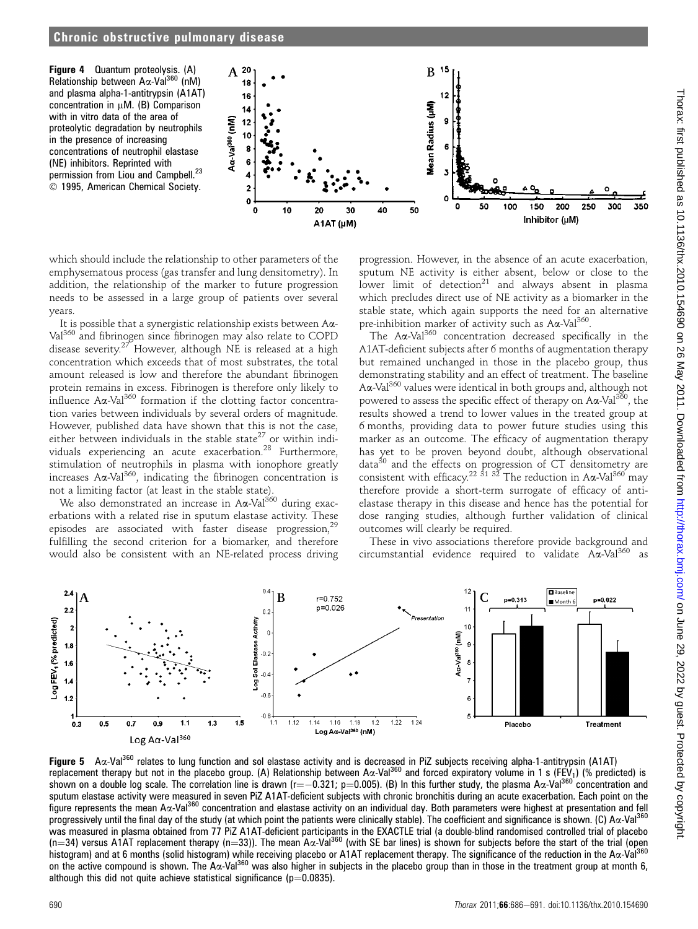Figure 4 Quantum proteolysis. (A) Relationship between Aα-Val<sup>360</sup> (nM) and plasma alpha-1-antitrypsin (A1AT) concentration in  $\mu$ M. (B) Comparison with in vitro data of the area of proteolytic degradation by neutrophils in the presence of increasing concentrations of neutrophil elastase (NE) inhibitors. Reprinted with permission from Liou and Campbell.<sup>23</sup>  $©$  1995, American Chemical Society.



which should include the relationship to other parameters of the emphysematous process (gas transfer and lung densitometry). In addition, the relationship of the marker to future progression needs to be assessed in a large group of patients over several years.

It is possible that a synergistic relationship exists between Aa-Val <sup>360</sup> and fibrinogen since fibrinogen may also relate to COPD disease severity.<sup>27</sup> However, although NE is released at a high concentration which exceeds that of most substrates, the total amount released is low and therefore the abundant fibrinogen protein remains in excess. Fibrinogen is therefore only likely to influence  $A\alpha$ -Val<sup>360</sup> formation if the clotting factor concentration varies between individuals by several orders of magnitude. However, published data have shown that this is not the case, either between individuals in the stable state<sup>27</sup> or within individuals experiencing an acute exacerbation.28 Furthermore, stimulation of neutrophils in plasma with ionophore greatly increases A $\alpha$ -Val<sup>360</sup>, indicating the fibrinogen concentration is not a limiting factor (at least in the stable state).

We also demonstrated an increase in  $A\alpha$ -Val<sup>360</sup> during exacerbations with a related rise in sputum elastase activity. These episodes are associated with faster disease progression,<sup>29</sup> fulfilling the second criterion for a biomarker, and therefore would also be consistent with an NE-related process driving

progression. However, in the absence of an acute exacerbation, sputum NE activity is either absent, below or close to the lower limit of detection<sup>21</sup> and always absent in plasma which precludes direct use of NE activity as a biomarker in the stable state, which again supports the need for an alternative pre-inhibition marker of activity such as  $A\alpha$ -Val<sup>360</sup>.

The Aa-Val<sup>360</sup> concentration decreased specifically in the A1AT-deficient subjects after 6 months of augmentation therapy but remained unchanged in those in the placebo group, thus demonstrating stability and an effect of treatment. The baseline Aa-Val<sup>360</sup> values were identical in both groups and, although not powered to assess the specific effect of therapy on  $A\alpha$ -Val<sup>360</sup>, the results showed a trend to lower values in the treated group at 6 months, providing data to power future studies using this marker as an outcome. The efficacy of augmentation therapy has yet to be proven beyond doubt, although observational data $30$  and the effects on progression of CT densitometry are consistent with efficacy.<sup>22 31 32</sup> The reduction in A $\alpha$ -Val<sup>360</sup> may therefore provide a short-term surrogate of efficacy of antielastase therapy in this disease and hence has the potential for dose ranging studies, although further validation of clinical outcomes will clearly be required.

These in vivo associations therefore provide background and cumstantial evidence required to validate  $A\alpha$ -Val<sup>360</sup> as circumstantial evidence required to validate  $A\alpha$ -Val<sup>360</sup>



Figure 5 A $\alpha$ -Val<sup>360</sup> relates to lung function and sol elastase activity and is decreased in PiZ subjects receiving alpha-1-antitrypsin (A1AT) replacement therapy but not in the placebo group. (A) Relationship between A $\alpha$ -Val<sup>360</sup> and forced expiratory volume in 1 s (FEV<sub>1</sub>) (% predicted) is shown on a double log scale. The correlation line is drawn (r= $-0.321$ ; p=0.005). (B) In this further study, the plasma A $\alpha$ -Val<sup>360</sup> concentration and sputum elastase activity were measured in seven PiZ A1AT-deficient subjects with chronic bronchitis during an acute exacerbation. Each point on the figure represents the mean A $\alpha$ -Val<sup>360</sup> concentration and elastase activity on an individual day. Both parameters were highest at presentation and fell progressively until the final day of the study (at which point the patients were clinically stable). The coefficient and significance is shown. (C)  $Ax$ -Val<sup>360</sup> was measured in plasma obtained from 77 PiZ A1AT-deficient participants in the EXACTLE trial (a double-blind randomised controlled trial of placebo (n=34) versus A1AT replacement therapy (n=33)). The mean A $\alpha$ -Val<sup>360</sup> (with SE bar lines) is shown for subjects before the start of the trial (open histogram) and at 6 months (solid histogram) while receiving placebo or A1AT replacement therapy. The significance of the reduction in the Aa-Val<sup>360</sup> on the active compound is shown. The A $\alpha$ -Val<sup>360</sup> was also higher in subjects in the placebo group than in those in the treatment group at month 6, although this did not quite achieve statistical significance ( $p=0.0835$ ).